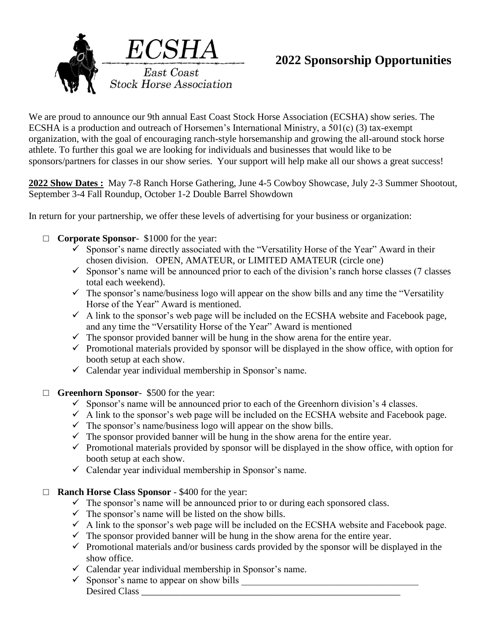

# **2022 Sponsorship Opportunities**

We are proud to announce our 9th annual East Coast Stock Horse Association (ECSHA) show series. The ECSHA is a production and outreach of Horsemen's International Ministry, a 501(c) (3) tax-exempt organization, with the goal of encouraging ranch-style horsemanship and growing the all-around stock horse athlete. To further this goal we are looking for individuals and businesses that would like to be sponsors/partners for classes in our show series. Your support will help make all our shows a great success!

**2022 Show Dates :** May 7-8 Ranch Horse Gathering, June 4-5 Cowboy Showcase, July 2-3 Summer Shootout, September 3-4 Fall Roundup, October 1-2 Double Barrel Showdown

In return for your partnership, we offer these levels of advertising for your business or organization:

- □ **Corporate Sponsor** \$1000 for the year:
	- $\checkmark$  Sponsor's name directly associated with the "Versatility Horse of the Year" Award in their chosen division. OPEN, AMATEUR, or LIMITED AMATEUR (circle one)
	- $\checkmark$  Sponsor's name will be announced prior to each of the division's ranch horse classes (7 classes total each weekend).
	- $\checkmark$  The sponsor's name/business logo will appear on the show bills and any time the "Versatility" Horse of the Year" Award is mentioned.
	- $\checkmark$  A link to the sponsor's web page will be included on the ECSHA website and Facebook page, and any time the "Versatility Horse of the Year" Award is mentioned
	- $\checkmark$  The sponsor provided banner will be hung in the show arena for the entire year.
	- $\checkmark$  Promotional materials provided by sponsor will be displayed in the show office, with option for booth setup at each show.
	- $\checkmark$  Calendar year individual membership in Sponsor's name.
- □ **Greenhorn Sponsor** \$500 for the year:
	- $\checkmark$  Sponsor's name will be announced prior to each of the Greenhorn division's 4 classes.
	- $\checkmark$  A link to the sponsor's web page will be included on the ECSHA website and Facebook page.
	- $\checkmark$  The sponsor's name/business logo will appear on the show bills.
	- $\checkmark$  The sponsor provided banner will be hung in the show arena for the entire year.
	- $\checkmark$  Promotional materials provided by sponsor will be displayed in the show office, with option for booth setup at each show.
	- $\checkmark$  Calendar year individual membership in Sponsor's name.
- □ **Ranch Horse Class Sponsor** \$400 for the year:
	- $\checkmark$  The sponsor's name will be announced prior to or during each sponsored class.
	- $\checkmark$  The sponsor's name will be listed on the show bills.
	- $\checkmark$  A link to the sponsor's web page will be included on the ECSHA website and Facebook page.
	- $\checkmark$  The sponsor provided banner will be hung in the show arena for the entire year.
	- $\checkmark$  Promotional materials and/or business cards provided by the sponsor will be displayed in the show office.
	- $\checkmark$  Calendar year individual membership in Sponsor's name.
	- Sponsor's name to appear on show bills \_\_\_\_\_\_\_\_\_\_\_\_\_\_\_\_\_\_\_\_\_\_\_\_\_\_\_\_\_\_\_\_\_\_\_\_\_ Desired Class \_\_\_\_\_\_\_\_\_\_\_\_\_\_\_\_\_\_\_\_\_\_\_\_\_\_\_\_\_\_\_\_\_\_\_\_\_\_\_\_\_\_\_\_\_\_\_\_\_\_\_\_\_\_